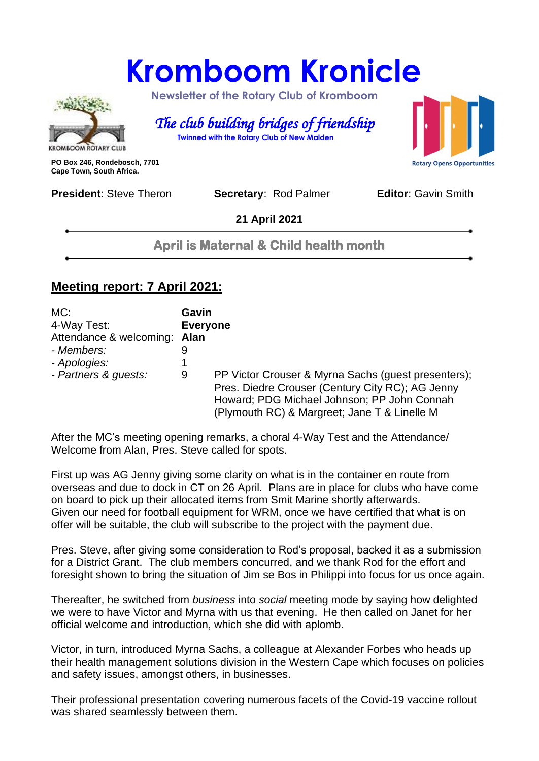# **Kromboom Kronicle**



 **Newsletter of the Rotary Club of Kromboom** 

 *The club building bridges of friendship*   **Twinned with the Rotary Club of New Malden**

**PO Box 246, Rondebosch, 7701 Cape Town, South Africa.**

**President:** Steve Theron **Secretary: Rod Palmer <b>Editor**: Gavin Smith

**Rotary Opens Opportunities** 

**21 April 2021**

**April is Maternal & Child health month**

#### **Meeting report: 7 April 2021:**

| MC:<br>4-Way Test:<br>Attendance & welcoming:<br>- Members:<br>- Apologies:<br>- Partners & guests: | Gavin<br><b>Everyone</b><br>Alan<br>9<br>9 | PP Victor Crouser & Myrna Sachs (guest presenters);<br>Pres. Diedre Crouser (Century City RC); AG Jenny<br>Howard; PDG Michael Johnson; PP John Connah |
|-----------------------------------------------------------------------------------------------------|--------------------------------------------|--------------------------------------------------------------------------------------------------------------------------------------------------------|
|                                                                                                     |                                            | (Plymouth RC) & Margreet; Jane T & Linelle M                                                                                                           |

After the MC's meeting opening remarks, a choral 4-Way Test and the Attendance/ Welcome from Alan, Pres. Steve called for spots.

First up was AG Jenny giving some clarity on what is in the container en route from overseas and due to dock in CT on 26 April. Plans are in place for clubs who have come on board to pick up their allocated items from Smit Marine shortly afterwards. Given our need for football equipment for WRM, once we have certified that what is on offer will be suitable, the club will subscribe to the project with the payment due.

Pres. Steve, after giving some consideration to Rod's proposal, backed it as a submission for a District Grant. The club members concurred, and we thank Rod for the effort and foresight shown to bring the situation of Jim se Bos in Philippi into focus for us once again.

Thereafter, he switched from *business* into *social* meeting mode by saying how delighted we were to have Victor and Myrna with us that evening. He then called on Janet for her official welcome and introduction, which she did with aplomb.

Victor, in turn, introduced Myrna Sachs, a colleague at Alexander Forbes who heads up their health management solutions division in the Western Cape which focuses on policies and safety issues, amongst others, in businesses.

Their professional presentation covering numerous facets of the Covid-19 vaccine rollout was shared seamlessly between them.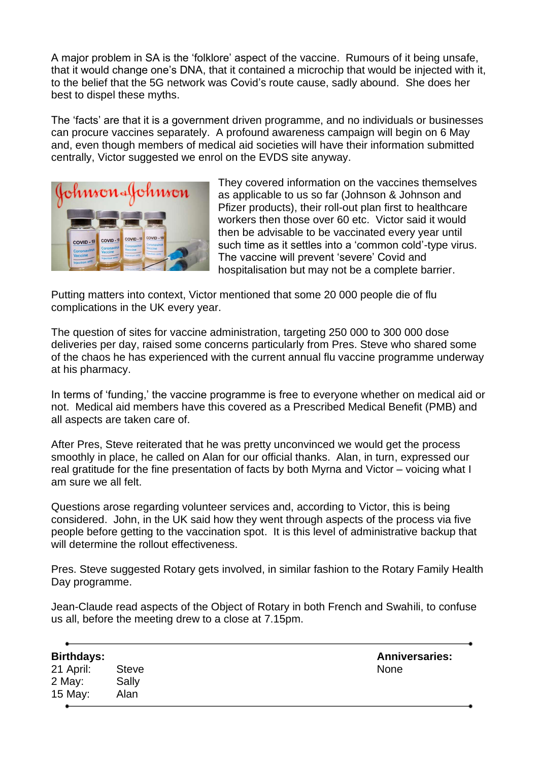A major problem in SA is the 'folklore' aspect of the vaccine. Rumours of it being unsafe, that it would change one's DNA, that it contained a microchip that would be injected with it, to the belief that the 5G network was Covid's route cause, sadly abound. She does her best to dispel these myths.

The 'facts' are that it is a government driven programme, and no individuals or businesses can procure vaccines separately. A profound awareness campaign will begin on 6 May and, even though members of medical aid societies will have their information submitted centrally, Victor suggested we enrol on the EVDS site anyway.



They covered information on the vaccines themselves as applicable to us so far (Johnson & Johnson and Pfizer products), their roll-out plan first to healthcare workers then those over 60 etc. Victor said it would then be advisable to be vaccinated every year until such time as it settles into a 'common cold'-type virus. The vaccine will prevent 'severe' Covid and hospitalisation but may not be a complete barrier.

Putting matters into context, Victor mentioned that some 20 000 people die of flu complications in the UK every year.

The question of sites for vaccine administration, targeting 250 000 to 300 000 dose deliveries per day, raised some concerns particularly from Pres. Steve who shared some of the chaos he has experienced with the current annual flu vaccine programme underway at his pharmacy.

In terms of 'funding,' the vaccine programme is free to everyone whether on medical aid or not. Medical aid members have this covered as a Prescribed Medical Benefit (PMB) and all aspects are taken care of.

After Pres, Steve reiterated that he was pretty unconvinced we would get the process smoothly in place, he called on Alan for our official thanks. Alan, in turn, expressed our real gratitude for the fine presentation of facts by both Myrna and Victor – voicing what I am sure we all felt.

Questions arose regarding volunteer services and, according to Victor, this is being considered. John, in the UK said how they went through aspects of the process via five people before getting to the vaccination spot. It is this level of administrative backup that will determine the rollout effectiveness.

Pres. Steve suggested Rotary gets involved, in similar fashion to the Rotary Family Health Day programme.

Jean-Claude read aspects of the Object of Rotary in both French and Swahili, to confuse us all, before the meeting drew to a close at 7.15pm.

| Birthdays: |              | <b>Anni</b> |
|------------|--------------|-------------|
| 21 April:  | <b>Steve</b> | <b>None</b> |
| 2 May:     | Sally        |             |
| 15 May:    | Alan         |             |

**Birthdays: Anniversaries:**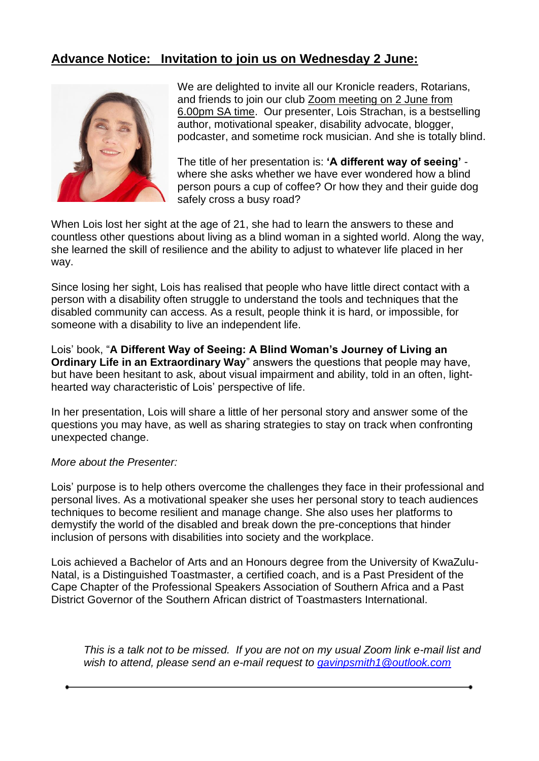#### **Advance Notice: Invitation to join us on Wednesday 2 June:**



We are delighted to invite all our Kronicle readers, Rotarians, and friends to join our club Zoom meeting on 2 June from 6.00pm SA time. Our presenter, Lois Strachan, is a bestselling author, motivational speaker, disability advocate, blogger, podcaster, and sometime rock musician. And she is totally blind.

The title of her presentation is: **'A different way of seeing'** where she asks whether we have ever wondered how a blind person pours a cup of coffee? Or how they and their guide dog safely cross a busy road?

When Lois lost her sight at the age of 21, she had to learn the answers to these and countless other questions about living as a blind woman in a sighted world. Along the way, she learned the skill of resilience and the ability to adjust to whatever life placed in her way.

Since losing her sight, Lois has realised that people who have little direct contact with a person with a disability often struggle to understand the tools and techniques that the disabled community can access. As a result, people think it is hard, or impossible, for someone with a disability to live an independent life.

Lois' book, "**A Different Way of Seeing: A Blind Woman's Journey of Living an Ordinary Life in an Extraordinary Way**" answers the questions that people may have, but have been hesitant to ask, about visual impairment and ability, told in an often, lighthearted way characteristic of Lois' perspective of life.

In her presentation, Lois will share a little of her personal story and answer some of the questions you may have, as well as sharing strategies to stay on track when confronting unexpected change.

#### *More about the Presenter:*

Lois' purpose is to help others overcome the challenges they face in their professional and personal lives. As a motivational speaker she uses her personal story to teach audiences techniques to become resilient and manage change. She also uses her platforms to demystify the world of the disabled and break down the pre-conceptions that hinder inclusion of persons with disabilities into society and the workplace.

Lois achieved a Bachelor of Arts and an Honours degree from the University of KwaZulu-Natal, is a Distinguished Toastmaster, a certified coach, and is a Past President of the Cape Chapter of the Professional Speakers Association of Southern Africa and a Past District Governor of the Southern African district of Toastmasters International.

*This is a talk not to be missed. If you are not on my usual Zoom link e-mail list and wish to attend, please send an e-mail request to [gavinpsmith1@outlook.com](mailto:gavinpsmith1@outlook.com)*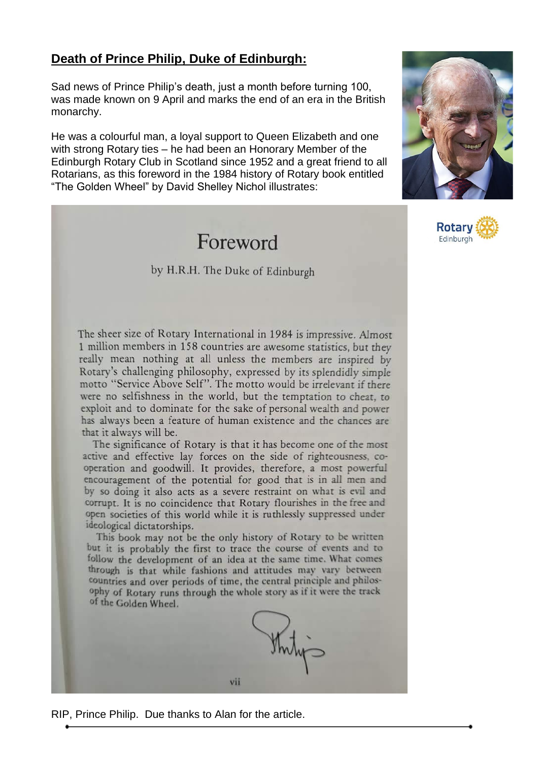#### **Death of Prince Philip, Duke of Edinburgh:**

Sad news of Prince Philip's death, just a month before turning 100, was made known on 9 April and marks the end of an era in the British monarchy.

He was a colourful man, a loyal support to Queen Elizabeth and one with strong Rotary ties – he had been an Honorary Member of the Edinburgh Rotary Club in Scotland since 1952 and a great friend to all Rotarians, as this foreword in the 1984 history of Rotary book entitled "The Golden Wheel" by David Shelley Nichol illustrates:

## Foreword

#### by H.R.H. The Duke of Edinburgh





The sheer size of Rotary International in 1984 is impressive. Almost 1 million members in 158 countries are awesome statistics, but they really mean nothing at all unless the members are inspired by Rotary's challenging philosophy, expressed by its splendidly simple motto "Service Above Self". The motto would be irrelevant if there were no selfishness in the world, but the temptation to cheat, to exploit and to dominate for the sake of personal wealth and power has always been a feature of human existence and the chances are that it always will be.

The significance of Rotary is that it has become one of the most active and effective lay forces on the side of righteousness, cooperation and goodwill. It provides, therefore, a most powerful encouragement of the potential for good that is in all men and by so doing it also acts as a severe restraint on what is evil and corrupt. It is no coincidence that Rotary flourishes in the free and open societies of this world while it is ruthlessly suppressed under ideological dictatorships.

This book may not be the only history of Rotary to be written but it is probably the first to trace the course of events and to follow the development of an idea at the same time. What comes through is that while fashions and attitudes may vary between countries and over periods of time, the central principle and philosophy of Rotary runs through the whole story as if it were the track of the Golden Wheel.



RIP, Prince Philip. Due thanks to Alan for the article.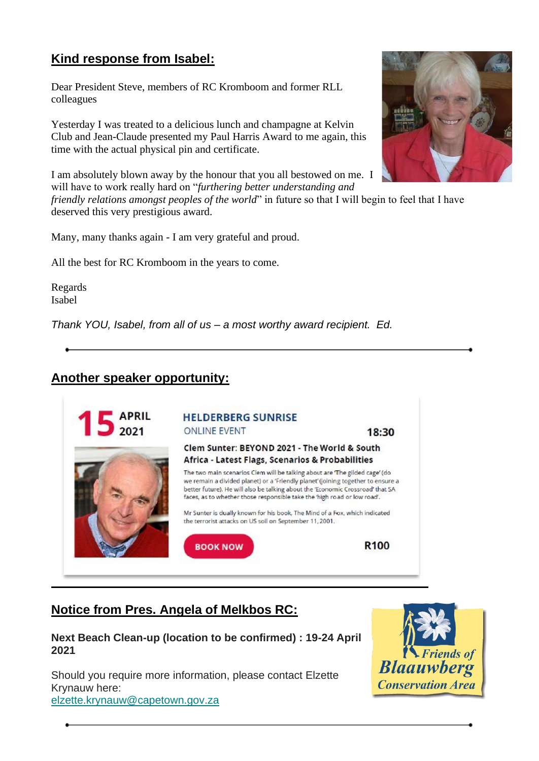### **Kind response from Isabel:**

Dear President Steve, members of RC Kromboom and former RLL colleagues

Yesterday I was treated to a delicious lunch and champagne at Kelvin Club and Jean-Claude presented my Paul Harris Award to me again, this time with the actual physical pin and certificate.

I am absolutely blown away by the honour that you all bestowed on me. I will have to work really hard on "*furthering better understanding and* 

*friendly relations amongst peoples of the world*" in future so that I will begin to feel that I have deserved this very prestigious award.

Many, many thanks again - I am very grateful and proud.

All the best for RC Kromboom in the years to come.

Regards Isabel

*Thank YOU, Isabel, from all of us – a most worthy award recipient. Ed.*

#### **Another speaker opportunity:**



#### **Notice from Pres. Angela of Melkbos RC:**

**Next Beach Clean-up (location to be confirmed) : 19-24 April 2021**

Should you require more information, please contact Elzette Krynauw here: [elzette.krynauw@capetown.gov.za](mailto:elzette.krynauw@capetown.gov.za?subject=February%20Beach%20Cleanup)



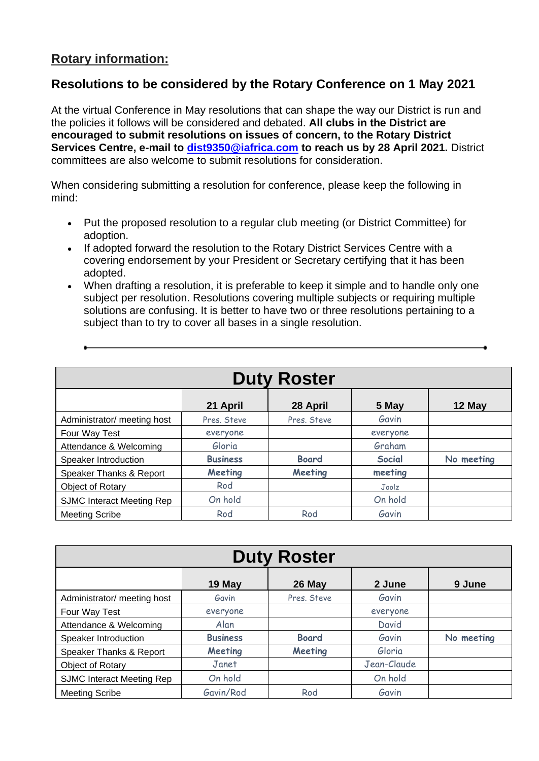#### **Rotary information:**

#### **Resolutions to be considered by the Rotary Conference on 1 May 2021**

At the virtual Conference in May resolutions that can shape the way our District is run and the policies it follows will be considered and debated. **All clubs in the District are encouraged to submit resolutions on issues of concern, to the Rotary District Services Centre, e-mail to [dist9350@iafrica.com](mailto:dist9350@iafrica.com) to reach us by 28 April 2021.** District committees are also welcome to submit resolutions for consideration.

When considering submitting a resolution for conference, please keep the following in mind:

- Put the proposed resolution to a regular club meeting (or District Committee) for adoption.
- If adopted forward the resolution to the Rotary District Services Centre with a covering endorsement by your President or Secretary certifying that it has been adopted.
- When drafting a resolution, it is preferable to keep it simple and to handle only one subject per resolution. Resolutions covering multiple subjects or requiring multiple solutions are confusing. It is better to have two or three resolutions pertaining to a subject than to try to cover all bases in a single resolution.

| <b>Duty Roster</b>               |                 |              |          |            |
|----------------------------------|-----------------|--------------|----------|------------|
|                                  | 21 April        | 28 April     | 5 May    | 12 May     |
| Administrator/ meeting host      | Pres. Steve     | Pres. Steve  | Gavin    |            |
| Four Way Test                    | everyone        |              | everyone |            |
| Attendance & Welcoming           | Gloria          |              | Graham   |            |
| Speaker Introduction             | <b>Business</b> | <b>Board</b> | Social   | No meeting |
| Speaker Thanks & Report          | Meeting         | Meeting      | meeting  |            |
| Object of Rotary                 | Rod             |              | Joolz    |            |
| <b>SJMC Interact Meeting Rep</b> | On hold         |              | On hold  |            |
| <b>Meeting Scribe</b>            | Rod             | Rod          | Gavin    |            |

| <b>Duty Roster</b>               |                 |              |             |            |
|----------------------------------|-----------------|--------------|-------------|------------|
|                                  | 19 May          | 26 May       | 2 June      | 9 June     |
| Administrator/ meeting host      | Gavin           | Pres. Steve  | Gavin       |            |
| Four Way Test                    | everyone        |              | everyone    |            |
| Attendance & Welcoming           | Alan            |              | David       |            |
| Speaker Introduction             | <b>Business</b> | <b>Board</b> | Gavin       | No meeting |
| Speaker Thanks & Report          | Meeting         | Meeting      | Gloria      |            |
| Object of Rotary                 | Janet           |              | Jean-Claude |            |
| <b>SJMC Interact Meeting Rep</b> | On hold         |              | On hold     |            |
| <b>Meeting Scribe</b>            | Gavin/Rod       | Rod          | Gavin       |            |